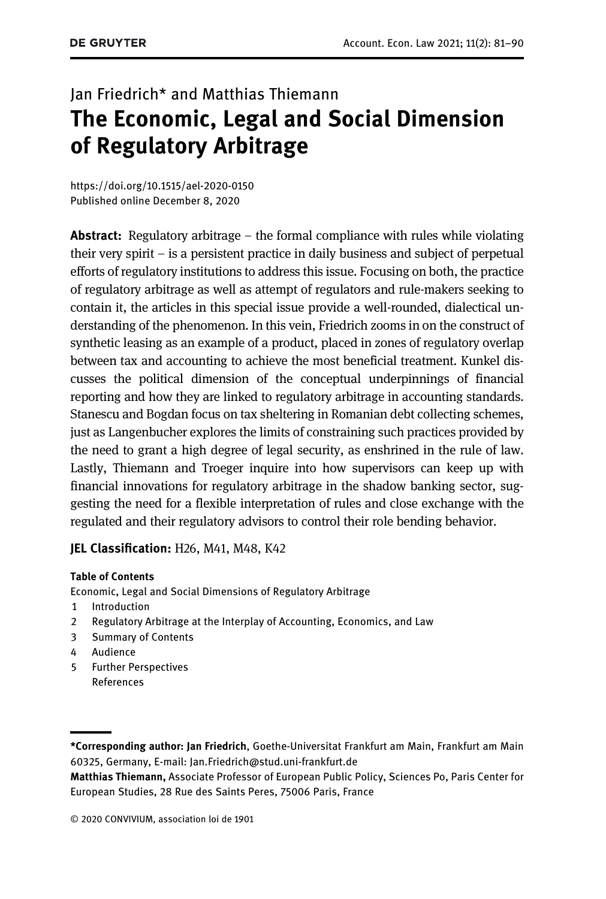# Jan Friedrich\* and Matthias Thiemann The Economic, Legal and Social Dimension of Regulatory Arbitrage

<https://doi.org/10.1515/ael-2020-0150> [Published online December 8, 2020](https://doi.org/10.1515/ael-2020-0150)

**Abstract:** Regulatory arbitrage – the formal compliance with rules while violating their very spirit – is a persistent practice in daily business and subject of perpetual efforts of regulatory institutions to address this issue. Focusing on both, the practice of regulatory arbitrage as well as attempt of regulators and rule-makers seeking to contain it, the articles in this special issue provide a well-rounded, dialectical understanding of the phenomenon. In this vein, Friedrich zooms in on the construct of synthetic leasing as an example of a product, placed in zones of regulatory overlap between tax and accounting to achieve the most beneficial treatment. Kunkel discusses the political dimension of the conceptual underpinnings of financial reporting and how they are linked to regulatory arbitrage in accounting standards. Stanescu and Bogdan focus on tax sheltering in Romanian debt collecting schemes, just as Langenbucher explores the limits of constraining such practices provided by the need to grant a high degree of legal security, as enshrined in the rule of law. Lastly, Thiemann and Troeger inquire into how supervisors can keep up with financial innovations for regulatory arbitrage in the shadow banking sector, suggesting the need for a flexible interpretation of rules and close exchange with the regulated and their regulatory advisors to control their role bending behavior.

### JEL Classification: H26, M41, M48, K42

#### Table of Contents

[Economic, Legal and Social Dimensions of Regulatory Arbitrage](#page-1-0)

- [1 Introduction](#page-1-1)
- [2 Regulatory Arbitrage at the Interplay of Accounting, Economics, and Law](#page-3-0)
- [3 Summary of Contents](#page-4-0)
- [4 Audience](#page-6-0)
- 5 Further Perspectives [References](#page-7-0)

<sup>\*</sup>Corresponding author: Jan Friedrich, Goethe-Universitat Frankfurt am Main, Frankfurt am Main 60325, Germany, E-mail: [Jan.Friedrich@stud.uni-frankfurt.de](mailto:Jan.Friedrich@stud.uni-frankfurt.de)

Matthias Thiemann, Associate Professor of European Public Policy, Sciences Po, Paris Center for European Studies, 28 Rue des Saints Peres, 75006 Paris, France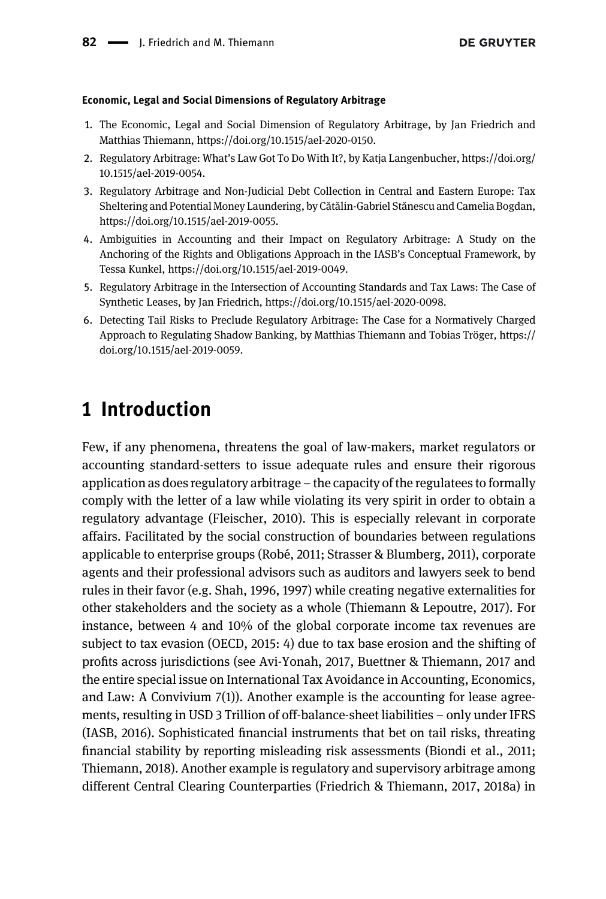#### <span id="page-1-0"></span>Economic, Legal and Social Dimensions of Regulatory Arbitrage

- 1. The Economic, Legal and Social Dimension of Regulatory Arbitrage, by Jan Friedrich and Matthias Thiemann, [https://doi.org/10.1515/ael-2020-0150.](https://doi.org/10.1515/ael-2020-0150)
- 2. Regulatory Arbitrage: What's Law Got To Do With It?, by Katja Langenbucher, [https://doi.org/](https://doi.org/10.1515/ael-2019-0054) [10.1515/ael-2019-0054.](https://doi.org/10.1515/ael-2019-0054)
- 3. Regulatory Arbitrage and Non-Judicial Debt Collection in Central and Eastern Europe: Tax Sheltering and Potential Money Laundering, by Cătălin-Gabriel Stănescu and Camelia Bogdan, [https://doi.org/10.1515/ael-2019-0055.](https://doi.org/10.1515/ael-2019-0055)
- 4. Ambiguities in Accounting and their Impact on Regulatory Arbitrage: A Study on the Anchoring of the Rights and Obligations Approach in the IASB's Conceptual Framework, by Tessa Kunkel,<https://doi.org/10.1515/ael-2019-0049>.
- 5. Regulatory Arbitrage in the Intersection of Accounting Standards and Tax Laws: The Case of Synthetic Leases, by Jan Friedrich, [https://doi.org/10.1515/ael-2020-0098.](https://doi.org/10.1515/ael-2020-0098)
- 6. Detecting Tail Risks to Preclude Regulatory Arbitrage: The Case for a Normatively Charged Approach to Regulating Shadow Banking, by Matthias Thiemann and Tobias Tröger, [https://](https://doi.org/10.1515/ael-2019-0059) [doi.org/10.1515/ael-2019-0059](https://doi.org/10.1515/ael-2019-0059).

## <span id="page-1-1"></span>1 Introduction

Few, if any phenomena, threatens the goal of law-makers, market regulators or accounting standard-setters to issue adequate rules and ensure their rigorous application as does regulatory arbitrage – the capacity of the regulatees to formally comply with the letter of a law while violating its very spirit in order to obtain a regulatory advantage [\(Fleischer, 2010](#page-8-0)). This is especially relevant in corporate affairs. Facilitated by the social construction of boundaries between regulations applicable to enterprise groups ([Robé, 2011; Strasser & Blumberg, 2011\)](#page-9-0), corporate agents and their professional advisors such as auditors and lawyers seek to bend rules in their favor (e.g. [Shah, 1996, 1997](#page-9-1)) while creating negative externalities for other stakeholders and the society as a whole [\(Thiemann & Lepoutre, 2017](#page-9-2)). For instance, between 4 and 10% of the global corporate income tax revenues are subject to tax evasion ([OECD, 2015](#page-9-3): 4) due to tax base erosion and the shifting of profits across jurisdictions (see [Avi-Yonah, 2017, Buettner & Thiemann, 2017](#page-7-1) and the entire special issue on International Tax Avoidance in Accounting, Economics, and Law: A Convivium 7(1)). Another example is the accounting for lease agreements, resulting in USD 3 Trillion of off-balance-sheet liabilities – only under IFRS ([IASB, 2016\)](#page-8-1). Sophisticated financial instruments that bet on tail risks, threating financial stability by reporting misleading risk assessments [\(Biondi et al., 2011;](#page-7-2) [Thiemann, 2018\)](#page-7-2). Another example is regulatory and supervisory arbitrage among different Central Clearing Counterparties ([Friedrich & Thiemann, 2017, 2018a](#page-8-2)) in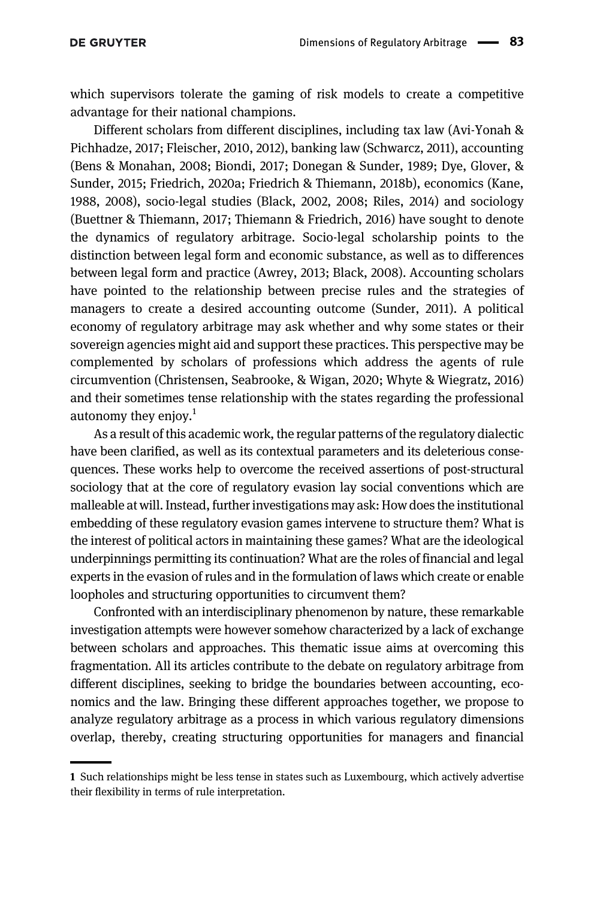which supervisors tolerate the gaming of risk models to create a competitive advantage for their national champions.

Different scholars from different disciplines, including tax law ([Avi-Yonah &](#page-7-3) [Pichhadze, 2017; Fleischer, 2010, 2012](#page-7-3)), banking law [\(Schwarcz, 2011\)](#page-9-4), accounting [\(Bens & Monahan, 2008; Biondi, 2017; Donegan & Sunder, 1989; Dye, Glover, &](#page-7-4) [Sunder, 2015; Friedrich, 2020a; Friedrich & Thiemann, 2018b](#page-7-4)), economics [\(Kane,](#page-8-3) [1988, 2008](#page-8-3)), socio-legal studies [\(Black, 2002, 2008; Riles, 2014](#page-8-4)) and sociology [\(Buettner & Thiemann, 2017; Thiemann & Friedrich, 2016\)](#page-8-5) have sought to denote the dynamics of regulatory arbitrage. Socio-legal scholarship points to the distinction between legal form and economic substance, as well as to differences between legal form and practice [\(Awrey, 2013; Black, 2008\)](#page-7-5). Accounting scholars have pointed to the relationship between precise rules and the strategies of managers to create a desired accounting outcome [\(Sunder, 2011\)](#page-9-5). A political economy of regulatory arbitrage may ask whether and why some states or their sovereign agencies might aid and support these practices. This perspective may be complemented by scholars of professions which address the agents of rule circumvention [\(Christensen, Seabrooke, & Wigan, 2020; Whyte & Wiegratz, 2016\)](#page-8-6) and their sometimes tense relationship with the states regarding the professional autonomy they enjoy. $1$ 

As a result of this academic work, the regular patterns of the regulatory dialectic have been clarified, as well as its contextual parameters and its deleterious consequences. These works help to overcome the received assertions of post-structural sociology that at the core of regulatory evasion lay social conventions which are malleable at will. Instead, further investigations may ask: How does the institutional embedding of these regulatory evasion games intervene to structure them? What is the interest of political actors in maintaining these games? What are the ideological underpinnings permitting its continuation? What are the roles of financial and legal experts in the evasion of rules and in the formulation of laws which create or enable loopholes and structuring opportunities to circumvent them?

Confronted with an interdisciplinary phenomenon by nature, these remarkable investigation attempts were however somehow characterized by a lack of exchange between scholars and approaches. This thematic issue aims at overcoming this fragmentation. All its articles contribute to the debate on regulatory arbitrage from different disciplines, seeking to bridge the boundaries between accounting, economics and the law. Bringing these different approaches together, we propose to analyze regulatory arbitrage as a process in which various regulatory dimensions overlap, thereby, creating structuring opportunities for managers and financial

<sup>1</sup> Such relationships might be less tense in states such as Luxembourg, which actively advertise their flexibility in terms of rule interpretation.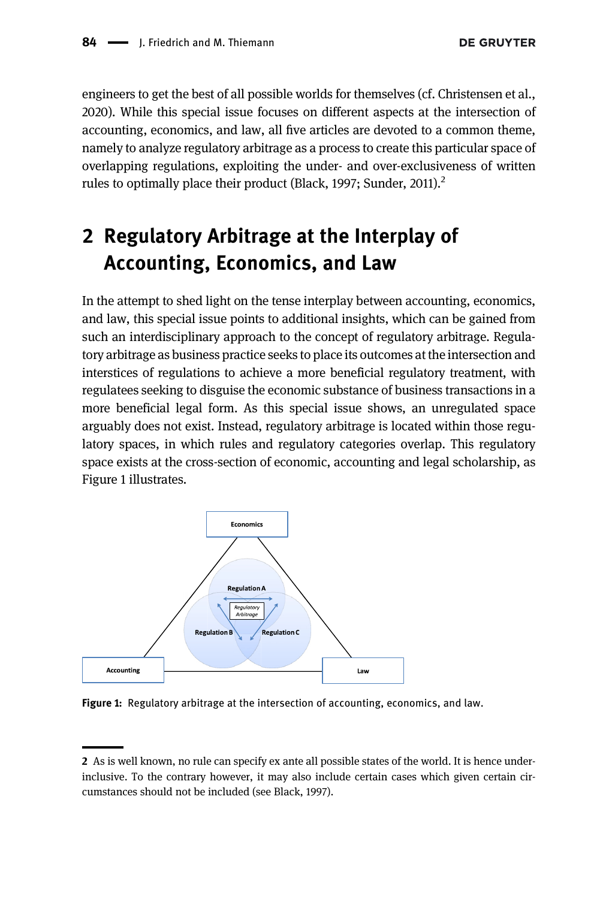engineers to get the best of all possible worlds for themselves (cf. [Christensen et al.,](#page-8-6) [2020](#page-8-6)). While this special issue focuses on different aspects at the intersection of accounting, economics, and law, all five articles are devoted to a common theme, namely to analyze regulatory arbitrage as a process to create this particular space of overlapping regulations, exploiting the under- and over-exclusiveness of written rules to optimally place their product [\(Black, 1997; Sunder, 2011](#page-7-6)).<sup>2</sup>

# <span id="page-3-0"></span>2 Regulatory Arbitrage at the Interplay of Accounting, Economics, and Law

In the attempt to shed light on the tense interplay between accounting, economics, and law, this special issue points to additional insights, which can be gained from such an interdisciplinary approach to the concept of regulatory arbitrage. Regulatory arbitrage as business practice seeks to place its outcomes at the intersection and interstices of regulations to achieve a more beneficial regulatory treatment, with regulatees seeking to disguise the economic substance of business transactions in a more beneficial legal form. As this special issue shows, an unregulated space arguably does not exist. Instead, regulatory arbitrage is located within those regulatory spaces, in which rules and regulatory categories overlap. This regulatory space exists at the cross-section of economic, accounting and legal scholarship, as [Figure 1](#page-3-1) illustrates.



<span id="page-3-1"></span>Figure 1: Regulatory arbitrage at the intersection of accounting, economics, and law.

<sup>2</sup> As is well known, no rule can specify ex ante all possible states of the world. It is hence underinclusive. To the contrary however, it may also include certain cases which given certain circumstances should not be included (see [Black, 1997](#page-7-6)).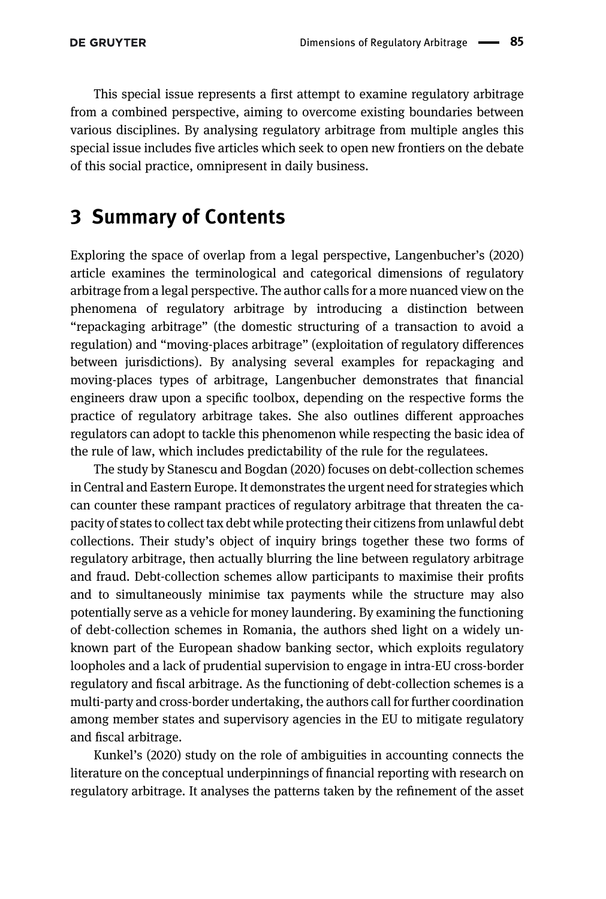This special issue represents a first attempt to examine regulatory arbitrage from a combined perspective, aiming to overcome existing boundaries between various disciplines. By analysing regulatory arbitrage from multiple angles this special issue includes five articles which seek to open new frontiers on the debate of this social practice, omnipresent in daily business.

## <span id="page-4-0"></span>3 Summary of Contents

Exploring the space of overlap from a legal perspective, [Langenbucher](#page-9-6)'s (2020) article examines the terminological and categorical dimensions of regulatory arbitrage from a legal perspective. The author calls for a more nuanced view on the phenomena of regulatory arbitrage by introducing a distinction between "repackaging arbitrage" (the domestic structuring of a transaction to avoid a regulation) and "moving-places arbitrage" (exploitation of regulatory differences between jurisdictions). By analysing several examples for repackaging and moving-places types of arbitrage, Langenbucher demonstrates that financial engineers draw upon a specific toolbox, depending on the respective forms the practice of regulatory arbitrage takes. She also outlines different approaches regulators can adopt to tackle this phenomenon while respecting the basic idea of the rule of law, which includes predictability of the rule for the regulatees.

The study by [Stanescu and Bogdan \(2020\)](#page-9-7) focuses on debt-collection schemes in Central and Eastern Europe. It demonstrates the urgent need for strategies which can counter these rampant practices of regulatory arbitrage that threaten the capacity of states to collect tax debt while protecting their citizens from unlawful debt collections. Their study's object of inquiry brings together these two forms of regulatory arbitrage, then actually blurring the line between regulatory arbitrage and fraud. Debt-collection schemes allow participants to maximise their profits and to simultaneously minimise tax payments while the structure may also potentially serve as a vehicle for money laundering. By examining the functioning of debt-collection schemes in Romania, the authors shed light on a widely unknown part of the European shadow banking sector, which exploits regulatory loopholes and a lack of prudential supervision to engage in intra-EU cross-border regulatory and fiscal arbitrage. As the functioning of debt-collection schemes is a multi-party and cross-border undertaking, the authors call for further coordination among member states and supervisory agencies in the EU to mitigate regulatory and fiscal arbitrage.

Kunkel'[s \(2020\)](#page-8-7) study on the role of ambiguities in accounting connects the literature on the conceptual underpinnings of financial reporting with research on regulatory arbitrage. It analyses the patterns taken by the refinement of the asset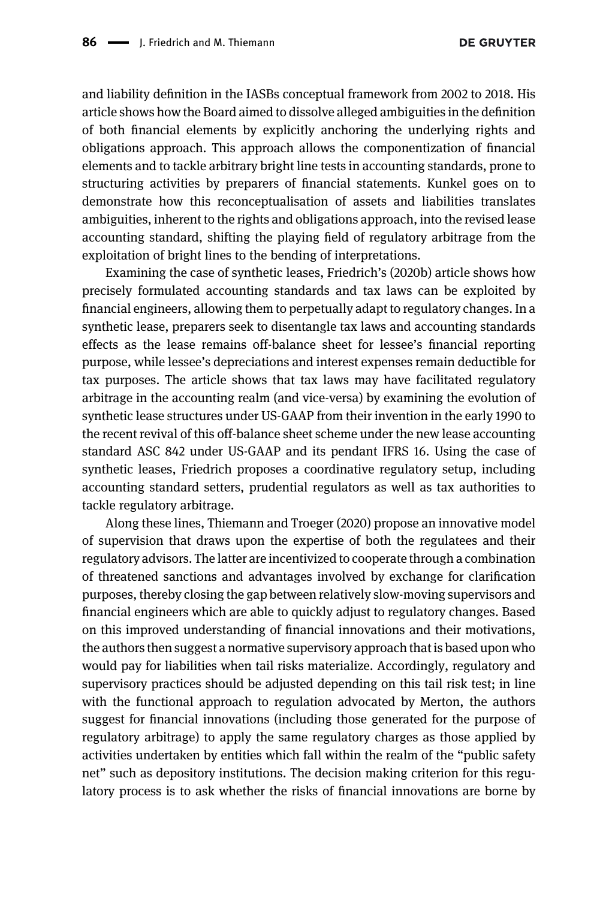and liability definition in the IASBs conceptual framework from 2002 to 2018. His article shows how the Board aimed to dissolve alleged ambiguities in the definition of both financial elements by explicitly anchoring the underlying rights and obligations approach. This approach allows the componentization of financial elements and to tackle arbitrary bright line tests in accounting standards, prone to structuring activities by preparers of financial statements. Kunkel goes on to demonstrate how this reconceptualisation of assets and liabilities translates ambiguities, inherent to the rights and obligations approach, into the revised lease accounting standard, shifting the playing field of regulatory arbitrage from the exploitation of bright lines to the bending of interpretations.

Examining the case of synthetic leases, [Friedrich](#page-8-8)'s (2020b) article shows how precisely formulated accounting standards and tax laws can be exploited by financial engineers, allowing them to perpetually adapt to regulatory changes. In a synthetic lease, preparers seek to disentangle tax laws and accounting standards effects as the lease remains off-balance sheet for lessee's financial reporting purpose, while lessee's depreciations and interest expenses remain deductible for tax purposes. The article shows that tax laws may have facilitated regulatory arbitrage in the accounting realm (and vice-versa) by examining the evolution of synthetic lease structures under US-GAAP from their invention in the early 1990 to the recent revival of this off-balance sheet scheme under the new lease accounting standard ASC 842 under US-GAAP and its pendant IFRS 16. Using the case of synthetic leases, Friedrich proposes a coordinative regulatory setup, including accounting standard setters, prudential regulators as well as tax authorities to tackle regulatory arbitrage.

Along these lines, [Thiemann and Troeger \(2020\)](#page-9-8) propose an innovative model of supervision that draws upon the expertise of both the regulatees and their regulatory advisors. The latter are incentivized to cooperate through a combination of threatened sanctions and advantages involved by exchange for clarification purposes, thereby closing the gap between relatively slow-moving supervisors and financial engineers which are able to quickly adjust to regulatory changes. Based on this improved understanding of financial innovations and their motivations, the authors then suggest a normative supervisory approach that is based upon who would pay for liabilities when tail risks materialize. Accordingly, regulatory and supervisory practices should be adjusted depending on this tail risk test; in line with the functional approach to regulation advocated by Merton, the authors suggest for financial innovations (including those generated for the purpose of regulatory arbitrage) to apply the same regulatory charges as those applied by activities undertaken by entities which fall within the realm of the "public safety net" such as depository institutions. The decision making criterion for this regulatory process is to ask whether the risks of financial innovations are borne by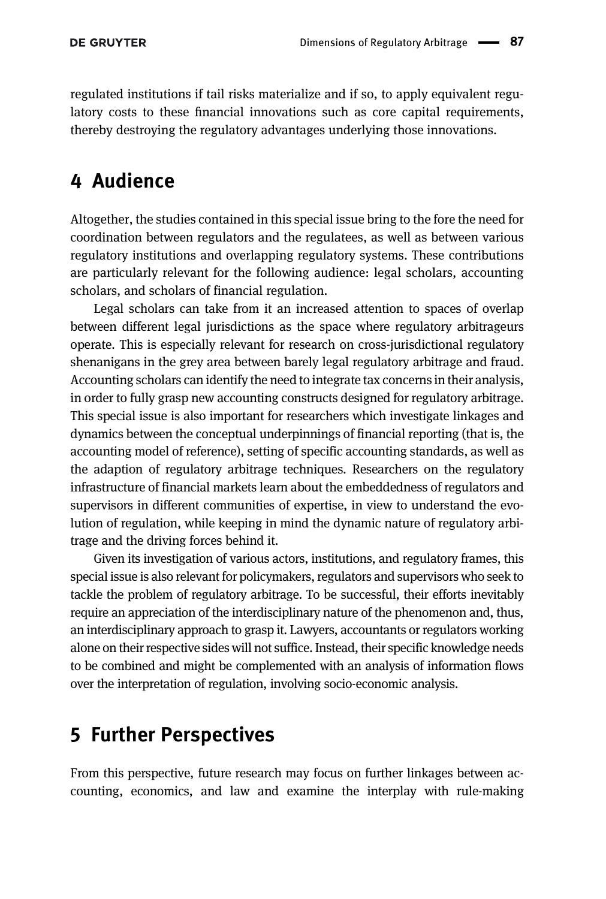regulated institutions if tail risks materialize and if so, to apply equivalent regulatory costs to these financial innovations such as core capital requirements, thereby destroying the regulatory advantages underlying those innovations.

## <span id="page-6-0"></span>4 Audience

Altogether, the studies contained in this special issue bring to the fore the need for coordination between regulators and the regulatees, as well as between various regulatory institutions and overlapping regulatory systems. These contributions are particularly relevant for the following audience: legal scholars, accounting scholars, and scholars of financial regulation.

Legal scholars can take from it an increased attention to spaces of overlap between different legal jurisdictions as the space where regulatory arbitrageurs operate. This is especially relevant for research on cross-jurisdictional regulatory shenanigans in the grey area between barely legal regulatory arbitrage and fraud. Accounting scholars can identify the need to integrate tax concerns in their analysis, in order to fully grasp new accounting constructs designed for regulatory arbitrage. This special issue is also important for researchers which investigate linkages and dynamics between the conceptual underpinnings of financial reporting (that is, the accounting model of reference), setting of specific accounting standards, as well as the adaption of regulatory arbitrage techniques. Researchers on the regulatory infrastructure of financial markets learn about the embeddedness of regulators and supervisors in different communities of expertise, in view to understand the evolution of regulation, while keeping in mind the dynamic nature of regulatory arbitrage and the driving forces behind it.

Given its investigation of various actors, institutions, and regulatory frames, this special issue is also relevant for policymakers, regulators and supervisors who seek to tackle the problem of regulatory arbitrage. To be successful, their efforts inevitably require an appreciation of the interdisciplinary nature of the phenomenon and, thus, an interdisciplinary approach to grasp it. Lawyers, accountants or regulators working alone on their respective sides will not suffice. Instead, their specific knowledge needs to be combined and might be complemented with an analysis of information flows over the interpretation of regulation, involving socio-economic analysis.

## 5 Further Perspectives

From this perspective, future research may focus on further linkages between accounting, economics, and law and examine the interplay with rule-making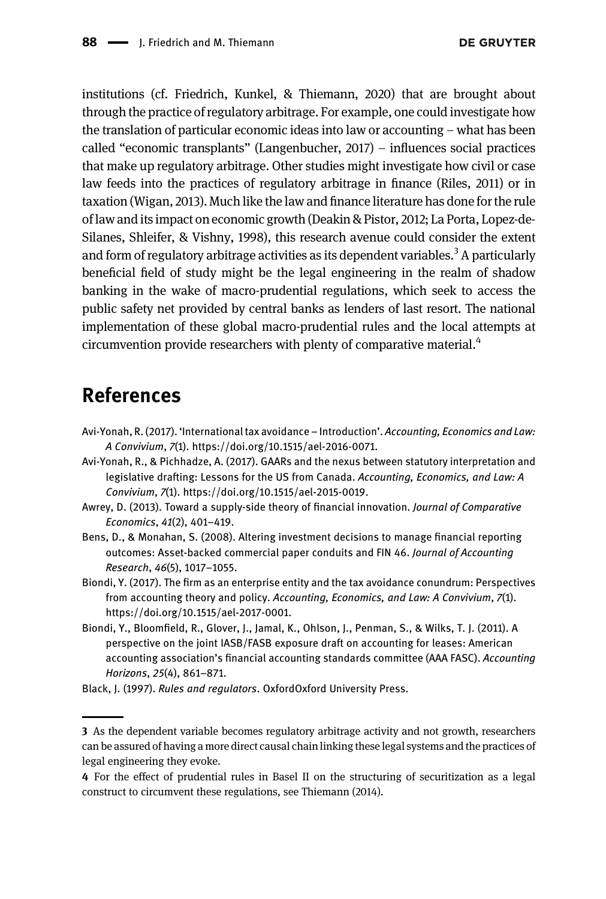institutions (cf. [Friedrich, Kunkel, & Thiemann, 2020](#page-8-9)) that are brought about through the practice of regulatory arbitrage. For example, one could investigate how the translation of particular economic ideas into law or accounting – what has been called "economic transplants" ([Langenbucher, 2017](#page-8-10)) – influences social practices that make up regulatory arbitrage. Other studies might investigate how civil or case law feeds into the practices of regulatory arbitrage in finance ([Riles, 2011](#page-9-9)) or in taxation [\(Wigan, 2013\)](#page-9-10). Much like the law and finance literature has done for the rule of law and its impact on economic growth [\(Deakin & Pistor, 2012; La Porta, Lopez](#page-8-11)‐de‐ [Silanes, Shleifer, & Vishny, 1998\)](#page-8-11), this research avenue could consider the extent and form of regulatory arbitrage activities as its dependent variables.<sup>3</sup> A particularly beneficial field of study might be the legal engineering in the realm of shadow banking in the wake of macro-prudential regulations, which seek to access the public safety net provided by central banks as lenders of last resort. The national implementation of these global macro-prudential rules and the local attempts at circumvention provide researchers with plenty of comparative material.<sup>4</sup>

## <span id="page-7-0"></span>References

- <span id="page-7-1"></span>Avi-Yonah, R. (2017). 'International tax avoidance – Introduction'. Accounting, Economics and Law: A Convivium, 7(1). [https://doi.org/10.1515/ael-2016-0071.](https://doi.org/10.1515/ael-2016-0071)
- <span id="page-7-3"></span>Avi-Yonah, R., & Pichhadze, A. (2017). GAARs and the nexus between statutory interpretation and legislative drafting: Lessons for the US from Canada. Accounting, Economics, and Law: A Convivium, 7(1). [https://doi.org/10.1515/ael-2015-0019.](https://doi.org/10.1515/ael-2015-0019)
- <span id="page-7-5"></span>Awrey, D. (2013). Toward a supply-side theory of financial innovation. Journal of Comparative Economics, 41(2), 401–419.
- <span id="page-7-4"></span>Bens, D., & Monahan, S. (2008). Altering investment decisions to manage financial reporting outcomes: Asset-backed commercial paper conduits and FIN 46. Journal of Accounting Research, 46(5), 1017–1055.
- Biondi, Y. (2017). The firm as an enterprise entity and the tax avoidance conundrum: Perspectives from accounting theory and policy. Accounting, Economics, and Law: A Convivium, 7(1). <https://doi.org/10.1515/ael-2017-0001>.
- <span id="page-7-2"></span>Biondi, Y., Bloomfield, R., Glover, J., Jamal, K., Ohlson, J., Penman, S., & Wilks, T. J. (2011). A perspective on the joint IASB/FASB exposure draft on accounting for leases: American accounting association's financial accounting standards committee (AAA FASC). Accounting Horizons, 25(4), 861–871.
- <span id="page-7-6"></span>Black, J. (1997). Rules and regulators. OxfordOxford University Press.

<sup>3</sup> As the dependent variable becomes regulatory arbitrage activity and not growth, researchers can be assured of having a more direct causal chain linking these legal systems and the practices of legal engineering they evoke.

<sup>4</sup> For the effect of prudential rules in Basel II on the structuring of securitization as a legal construct to circumvent these regulations, see [Thiemann \(2014\).](#page-9-11)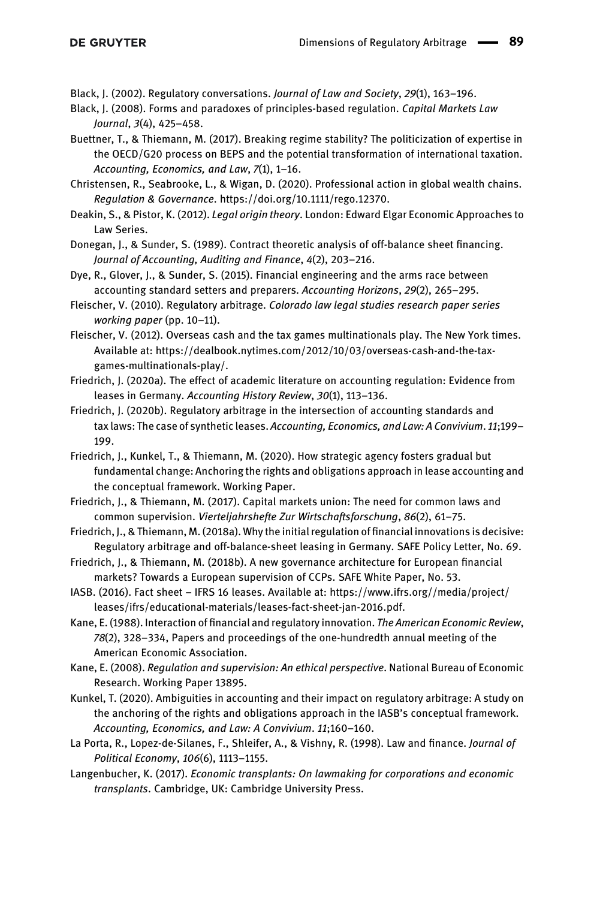<span id="page-8-4"></span>Black, J. (2002). Regulatory conversations. Journal of Law and Society, 29(1), 163–196.

- Black, J. (2008). Forms and paradoxes of principles-based regulation. Capital Markets Law Journal, 3(4), 425–458.
- <span id="page-8-5"></span>Buettner, T., & Thiemann, M. (2017). Breaking regime stability? The politicization of expertise in the OECD/G20 process on BEPS and the potential transformation of international taxation. Accounting, Economics, and Law, 7(1), 1–16.
- <span id="page-8-6"></span>Christensen, R., Seabrooke, L., & Wigan, D. (2020). Professional action in global wealth chains. Regulation & Governance.<https://doi.org/10.1111/rego.12370>.
- <span id="page-8-11"></span>Deakin, S., & Pistor, K. (2012). Legal origin theory. London: Edward Elgar Economic Approaches to Law Series.
- Donegan, J., & Sunder, S. (1989). Contract theoretic analysis of off-balance sheet financing. Journal of Accounting, Auditing and Finance, 4(2), 203–216.
- Dye, R., Glover, J., & Sunder, S. (2015). Financial engineering and the arms race between accounting standard setters and preparers. Accounting Horizons, 29(2), 265–295.
- <span id="page-8-0"></span>Fleischer, V. (2010). Regulatory arbitrage. Colorado law legal studies research paper series working paper (pp. 10–11).
- Fleischer, V. (2012). Overseas cash and the tax games multinationals play. The New York times. Available at: [https://dealbook.nytimes.com/2012/10/03/overseas-cash-and-the-tax](https://dealbook.nytimes.com/2012/10/03/overseas-cash-and-the-tax-games-multinationals-play/)[games-multinationals-play/](https://dealbook.nytimes.com/2012/10/03/overseas-cash-and-the-tax-games-multinationals-play/).
- Friedrich, J. (2020a). The effect of academic literature on accounting regulation: Evidence from leases in Germany. Accounting History Review, 30(1), 113–136.
- <span id="page-8-8"></span>Friedrich, J. (2020b). Regulatory arbitrage in the intersection of accounting standards and tax laws: The case of synthetic leases. Accounting, Economics, and Law: A Convivium. 11;199– 199.
- <span id="page-8-9"></span>Friedrich, J., Kunkel, T., & Thiemann, M. (2020). How strategic agency fosters gradual but fundamental change: Anchoring the rights and obligations approach in lease accounting and the conceptual framework. Working Paper.
- <span id="page-8-2"></span>Friedrich, J., & Thiemann, M. (2017). Capital markets union: The need for common laws and common supervision. Vierteljahrshefte Zur Wirtschaftsforschung, 86(2), 61–75.
- Friedrich, J., & Thiemann, M. (2018a). Why the initial regulation of financial innovations is decisive: Regulatory arbitrage and off-balance-sheet leasing in Germany. SAFE Policy Letter, No. 69.
- Friedrich, J., & Thiemann, M. (2018b). A new governance architecture for European financial markets? Towards a European supervision of CCPs. SAFE White Paper, No. 53.
- <span id="page-8-1"></span>IASB. (2016). Fact sheet – IFRS 16 leases. Available at: [https://www.ifrs.org//media/project/](https://www.ifrs.org//media/project/leases/ifrs/educational-materials/leases-fact-sheet-jan-2016.pdf) [leases/ifrs/educational-materials/leases-fact-sheet-jan-2016.pdf.](https://www.ifrs.org//media/project/leases/ifrs/educational-materials/leases-fact-sheet-jan-2016.pdf)
- <span id="page-8-3"></span>Kane, E. (1988). Interaction of financial and regulatory innovation. The American Economic Review, 78(2), 328–334, Papers and proceedings of the one-hundredth annual meeting of the American Economic Association.
- Kane, E. (2008). Regulation and supervision: An ethical perspective. National Bureau of Economic Research. Working Paper 13895.
- <span id="page-8-7"></span>Kunkel, T. (2020). Ambiguities in accounting and their impact on regulatory arbitrage: A study on the anchoring of the rights and obligations approach in the IASB's conceptual framework. Accounting, Economics, and Law: A Convivium. 11;160–160.
- La Porta, R., Lopez-de-Silanes, F., Shleifer, A., & Vishny, R. (1998). Law and finance. Journal of Political Economy, 106(6), 1113–1155.
- <span id="page-8-10"></span>Langenbucher, K. (2017). Economic transplants: On lawmaking for corporations and economic transplants. Cambridge, UK: Cambridge University Press.